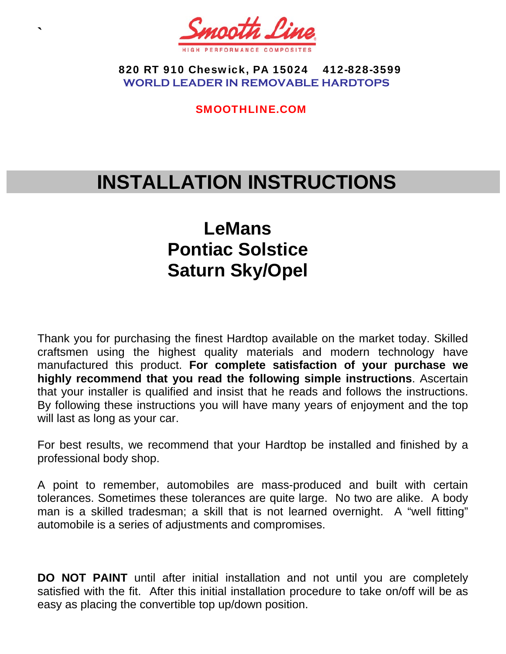

**`** 

 820 RT 910 Cheswick, PA 15024 412-828-3599 **WORLD LEADER IN REMOVABLE HARDTOPS** 

SMOOTHLINE.COM

# **INSTALLATION INSTRUCTIONS**

## **LeMans Pontiac Solstice Saturn Sky/Opel**

Thank you for purchasing the finest Hardtop available on the market today. Skilled craftsmen using the highest quality materials and modern technology have manufactured this product. **For complete satisfaction of your purchase we highly recommend that you read the following simple instructions**. Ascertain that your installer is qualified and insist that he reads and follows the instructions. By following these instructions you will have many years of enjoyment and the top will last as long as your car.

For best results, we recommend that your Hardtop be installed and finished by a professional body shop.

A point to remember, automobiles are mass-produced and built with certain tolerances. Sometimes these tolerances are quite large. No two are alike. A body man is a skilled tradesman; a skill that is not learned overnight. A "well fitting" automobile is a series of adjustments and compromises.

**DO NOT PAINT** until after initial installation and not until you are completely satisfied with the fit. After this initial installation procedure to take on/off will be as easy as placing the convertible top up/down position.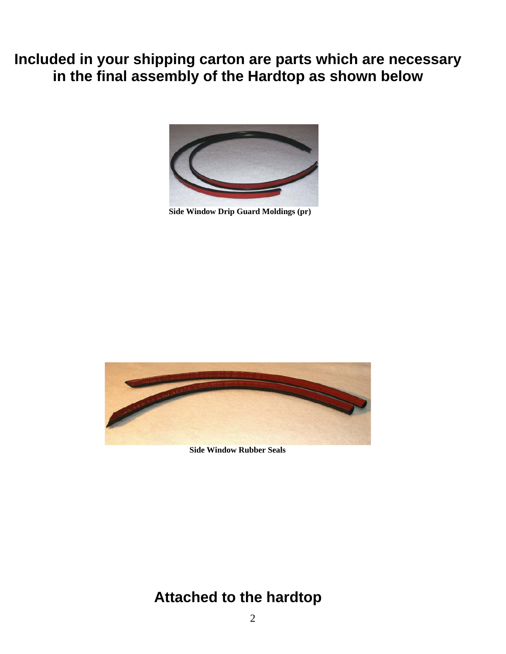**Included in your shipping carton are parts which are necessary in the final assembly of the Hardtop as shown below**



**Side Window Drip Guard Moldings (pr)** 



 **Side Window Rubber Seals** 

## **Attached to the hardtop**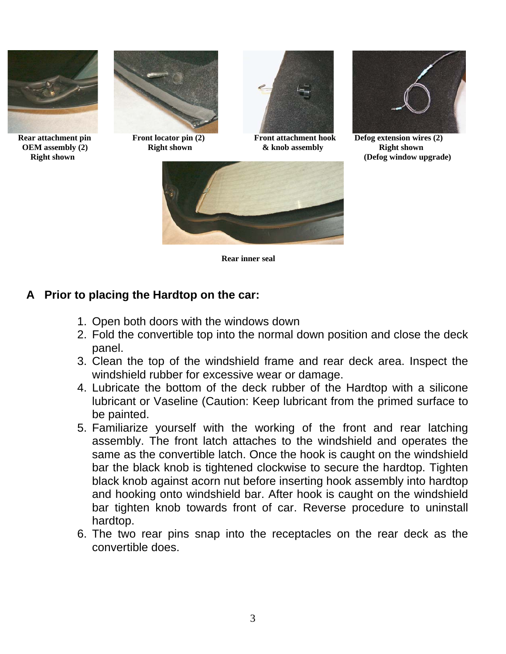





**OEM assembly (2) CEM** assembly (2) Right shown **& knob assembly assembly being assembly contained by Right shown** 



**Right shown** (Defog window upgrade) *Right shown* 



**Rear inner seal** 

#### **A Prior to placing the Hardtop on the car:**

- 1. Open both doors with the windows down
- 2. Fold the convertible top into the normal down position and close the deck panel.
- 3. Clean the top of the windshield frame and rear deck area. Inspect the windshield rubber for excessive wear or damage.
- 4. Lubricate the bottom of the deck rubber of the Hardtop with a silicone lubricant or Vaseline (Caution: Keep lubricant from the primed surface to be painted.
- 5. Familiarize yourself with the working of the front and rear latching assembly. The front latch attaches to the windshield and operates the same as the convertible latch. Once the hook is caught on the windshield bar the black knob is tightened clockwise to secure the hardtop. Tighten black knob against acorn nut before inserting hook assembly into hardtop and hooking onto windshield bar. After hook is caught on the windshield bar tighten knob towards front of car. Reverse procedure to uninstall hardtop.
- 6. The two rear pins snap into the receptacles on the rear deck as the convertible does.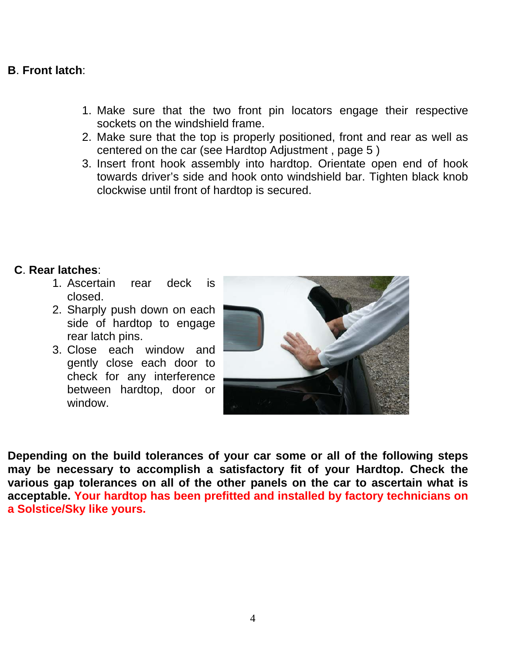#### **B**. **Front latch**:

- 1. Make sure that the two front pin locators engage their respective sockets on the windshield frame.
- 2. Make sure that the top is properly positioned, front and rear as well as centered on the car (see Hardtop Adjustment , page 5 )
- 3. Insert front hook assembly into hardtop. Orientate open end of hook towards driver's side and hook onto windshield bar. Tighten black knob clockwise until front of hardtop is secured.

#### **C**. **Rear latches**:

- 1. Ascertain rear deck is closed.
- 2. Sharply push down on each side of hardtop to engage rear latch pins.
- 3. Close each window and gently close each door to check for any interference between hardtop, door or window.



**Depending on the build tolerances of your car some or all of the following steps may be necessary to accomplish a satisfactory fit of your Hardtop. Check the various gap tolerances on all of the other panels on the car to ascertain what is acceptable. Your hardtop has been prefitted and installed by factory technicians on a Solstice/Sky like yours.**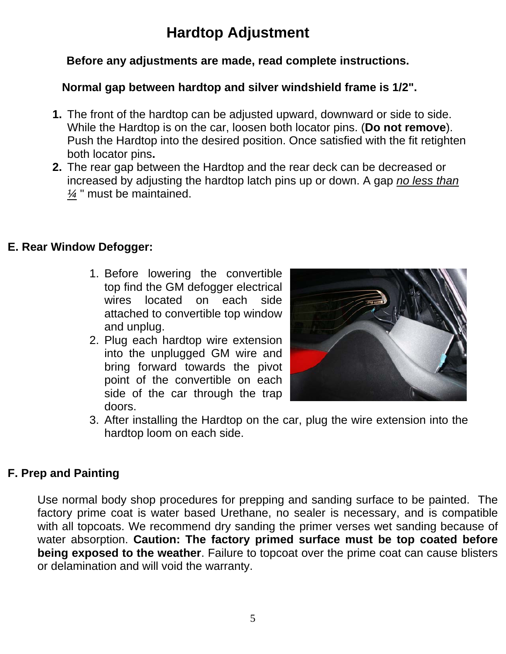## **Hardtop Adjustment**

#### **Before any adjustments are made, read complete instructions.**

#### **Normal gap between hardtop and silver windshield frame is 1/2".**

- **1.** The front of the hardtop can be adjusted upward, downward or side to side. While the Hardtop is on the car, loosen both locator pins. (**Do not remove**). Push the Hardtop into the desired position. Once satisfied with the fit retighten both locator pins**.**
- **2.** The rear gap between the Hardtop and the rear deck can be decreased or increased by adjusting the hardtop latch pins up or down. A gap *no less than ¼* " must be maintained.

#### **E. Rear Window Defogger:**

- 1. Before lowering the convertible top find the GM defogger electrical wires located on each side attached to convertible top window and unplug.
- 2. Plug each hardtop wire extension into the unplugged GM wire and bring forward towards the pivot point of the convertible on each side of the car through the trap doors.



3. After installing the Hardtop on the car, plug the wire extension into the hardtop loom on each side.

#### **F. Prep and Painting**

Use normal body shop procedures for prepping and sanding surface to be painted. The factory prime coat is water based Urethane, no sealer is necessary, and is compatible with all topcoats. We recommend dry sanding the primer verses wet sanding because of water absorption. **Caution: The factory primed surface must be top coated before being exposed to the weather**. Failure to topcoat over the prime coat can cause blisters or delamination and will void the warranty.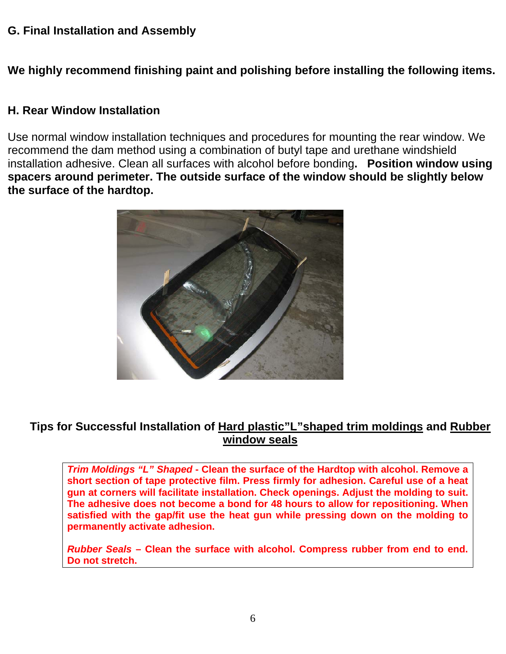#### **G. Final Installation and Assembly**

**We highly recommend finishing paint and polishing before installing the following items.** 

#### **H. Rear Window Installation**

Use normal window installation techniques and procedures for mounting the rear window. We recommend the dam method using a combination of butyl tape and urethane windshield installation adhesive. Clean all surfaces with alcohol before bonding**. Position window using spacers around perimeter. The outside surface of the window should be slightly below the surface of the hardtop.** 



#### **Tips for Successful Installation of Hard plastic"L"shaped trim moldings and Rubber window seals**

*Trim Moldings "L" Shaped* **- Clean the surface of the Hardtop with alcohol. Remove a short section of tape protective film. Press firmly for adhesion. Careful use of a heat gun at corners will facilitate installation. Check openings. Adjust the molding to suit. The adhesive does not become a bond for 48 hours to allow for repositioning. When satisfied with the gap/fit use the heat gun while pressing down on the molding to permanently activate adhesion.** 

*Rubber Seals* **– Clean the surface with alcohol. Compress rubber from end to end. Do not stretch.**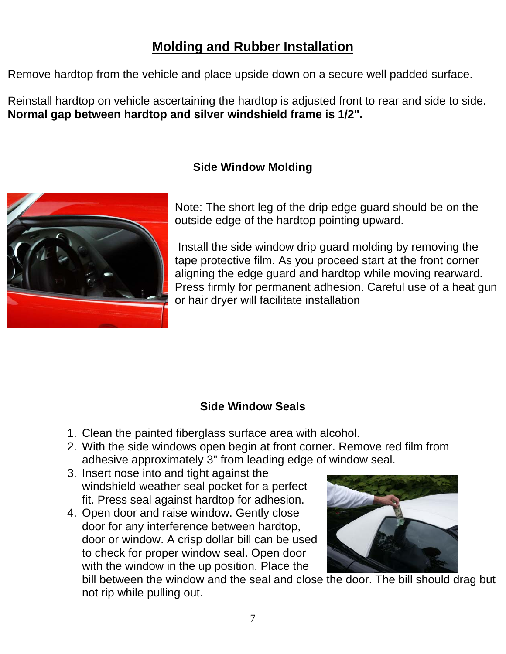## **Molding and Rubber Installation**

Remove hardtop from the vehicle and place upside down on a secure well padded surface.

Reinstall hardtop on vehicle ascertaining the hardtop is adjusted front to rear and side to side. **Normal gap between hardtop and silver windshield frame is 1/2".** 

#### **Side Window Molding**



Note: The short leg of the drip edge guard should be on the outside edge of the hardtop pointing upward.

 Install the side window drip guard molding by removing the tape protective film. As you proceed start at the front corner aligning the edge guard and hardtop while moving rearward. Press firmly for permanent adhesion. Careful use of a heat gun or hair dryer will facilitate installation

#### **Side Window Seals**

- 1. Clean the painted fiberglass surface area with alcohol.
- 2. With the side windows open begin at front corner. Remove red film from adhesive approximately 3" from leading edge of window seal.
- 3. Insert nose into and tight against the windshield weather seal pocket for a perfect fit. Press seal against hardtop for adhesion.
- 4. Open door and raise window. Gently close door for any interference between hardtop, door or window. A crisp dollar bill can be used to check for proper window seal. Open door with the window in the up position. Place the



bill between the window and the seal and close the door. The bill should drag but not rip while pulling out.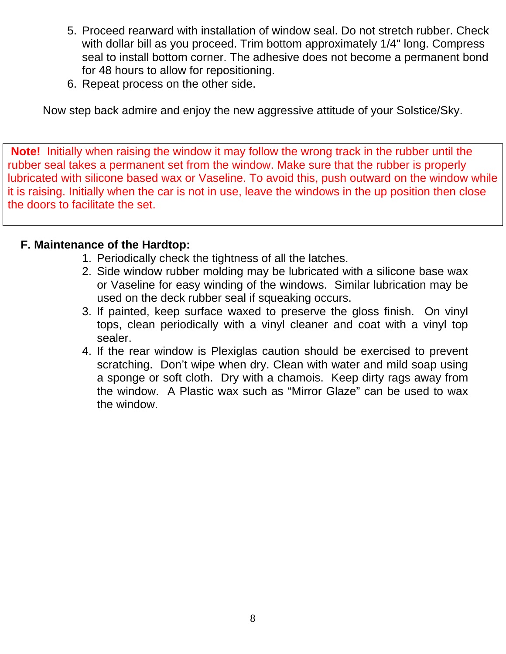- 5. Proceed rearward with installation of window seal. Do not stretch rubber. Check with dollar bill as you proceed. Trim bottom approximately 1/4" long. Compress seal to install bottom corner. The adhesive does not become a permanent bond for 48 hours to allow for repositioning.
- 6. Repeat process on the other side.

Now step back admire and enjoy the new aggressive attitude of your Solstice/Sky.

**Note!** Initially when raising the window it may follow the wrong track in the rubber until the rubber seal takes a permanent set from the window. Make sure that the rubber is properly lubricated with silicone based wax or Vaseline. To avoid this, push outward on the window while it is raising. Initially when the car is not in use, leave the windows in the up position then close the doors to facilitate the set.

#### **F. Maintenance of the Hardtop:**

- 1. Periodically check the tightness of all the latches.
- 2. Side window rubber molding may be lubricated with a silicone base wax or Vaseline for easy winding of the windows. Similar lubrication may be used on the deck rubber seal if squeaking occurs.
- 3. If painted, keep surface waxed to preserve the gloss finish. On vinyl tops, clean periodically with a vinyl cleaner and coat with a vinyl top sealer.
- 4. If the rear window is Plexiglas caution should be exercised to prevent scratching. Don't wipe when dry. Clean with water and mild soap using a sponge or soft cloth. Dry with a chamois. Keep dirty rags away from the window. A Plastic wax such as "Mirror Glaze" can be used to wax the window.